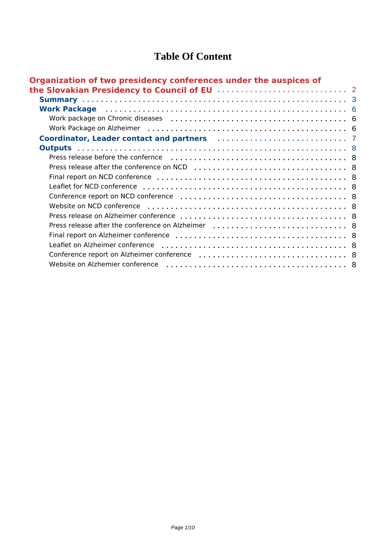### **Table Of Content**

| Organization of two presidency conferences under the auspices of                                                         |  |
|--------------------------------------------------------------------------------------------------------------------------|--|
|                                                                                                                          |  |
|                                                                                                                          |  |
| <b>Work Package</b> is a conservative conservative conservative conservative conservative conservative conservative cons |  |
|                                                                                                                          |  |
|                                                                                                                          |  |
|                                                                                                                          |  |
|                                                                                                                          |  |
|                                                                                                                          |  |
|                                                                                                                          |  |
|                                                                                                                          |  |
|                                                                                                                          |  |
|                                                                                                                          |  |
|                                                                                                                          |  |
|                                                                                                                          |  |
|                                                                                                                          |  |
|                                                                                                                          |  |
|                                                                                                                          |  |
|                                                                                                                          |  |
| Website on Alzhemier conference                                                                                          |  |
|                                                                                                                          |  |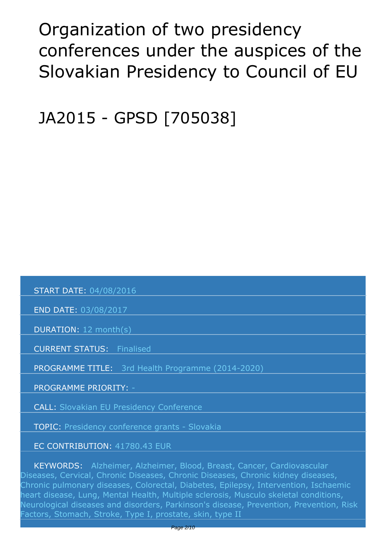# <span id="page-1-0"></span>*Organization of two presidency conferences under the auspices of the Slovakian Presidency to Council of EU*

*JA2015 - GPSD [705038]*

 *START DATE: 04/08/2016*

 *END DATE: 03/08/2017*

 *DURATION: 12 month(s)*

 *CURRENT STATUS: Finalised*

 *PROGRAMME TITLE: 3rd Health Programme (2014-2020)* 

 *PROGRAMME PRIORITY: -*

 *CALL: Slovakian EU Presidency Conference*

 *TOPIC: Presidency conference grants - Slovakia*

 *EC CONTRIBUTION: 41780.43 EUR*

 *KEYWORDS: Alzheimer, Alzheimer, Blood, Breast, Cancer, Cardiovascular Diseases, Cervical, Chronic Diseases, Chronic Diseases, Chronic kidney diseases, Chronic pulmonary diseases, Colorectal, Diabetes, Epilepsy, Intervention, Ischaemic heart disease, Lung, Mental Health, Multiple sclerosis, Musculo skeletal conditions, Neurological diseases and disorders, Parkinson's disease, Prevention, Prevention, Risk Factors, Stomach, Stroke, Type I, prostate, skin, type II*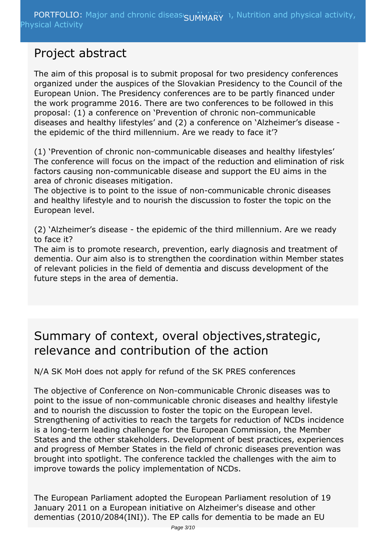### <span id="page-2-0"></span>*Project abstract*

*The aim of this proposal is to submit proposal for two presidency conferences organized under the auspices of the Slovakian Presidency to the Council of the European Union. The Presidency conferences are to be partly financed under the work programme 2016. There are two conferences to be followed in this proposal: (1) a conference on 'Prevention of chronic non-communicable diseases and healthy lifestyles' and (2) a conference on 'Alzheimer's disease the epidemic of the third millennium. Are we ready to face it'?*

*(1) 'Prevention of chronic non-communicable diseases and healthy lifestyles' The conference will focus on the impact of the reduction and elimination of risk factors causing non-communicable disease and support the EU aims in the area of chronic diseases mitigation.*

*The objective is to point to the issue of non-communicable chronic diseases and healthy lifestyle and to nourish the discussion to foster the topic on the European level.*

*(2) 'Alzheimer's disease - the epidemic of the third millennium. Are we ready to face it?*

*The aim is to promote research, prevention, early diagnosis and treatment of dementia. Our aim also is to strengthen the coordination within Member states of relevant policies in the field of dementia and discuss development of the future steps in the area of dementia.*

### *Summary of context, overal objectives,strategic, relevance and contribution of the action*

*N/A SK MoH does not apply for refund of the SK PRES conferences*

*The objective of Conference on Non-communicable Chronic diseases was to point to the issue of non-communicable chronic diseases and healthy lifestyle and to nourish the discussion to foster the topic on the European level. Strengthening of activities to reach the targets for reduction of NCDs incidence is a long-term leading challenge for the European Commission, the Member States and the other stakeholders. Development of best practices, experiences and progress of Member States in the field of chronic diseases prevention was brought into spotlight. The conference tackled the challenges with the aim to improve towards the policy implementation of NCDs.*

*The European Parliament adopted the European Parliament resolution of 19 January 2011 on a European initiative on Alzheimer's disease and other dementias (2010/2084(INI)). The EP calls for dementia to be made an EU*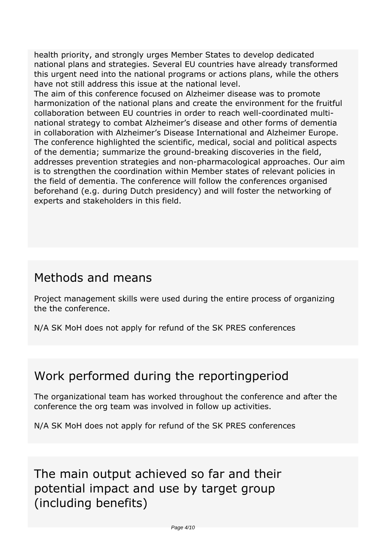*health priority, and strongly urges Member States to develop dedicated national plans and strategies. Several EU countries have already transformed this urgent need into the national programs or actions plans, while the others have not still address this issue at the national level.*

*The aim of this conference focused on Alzheimer disease was to promote harmonization of the national plans and create the environment for the fruitful collaboration between EU countries in order to reach well-coordinated multinational strategy to combat Alzheimer's disease and other forms of dementia in collaboration with Alzheimer's Disease International and Alzheimer Europe. The conference highlighted the scientific, medical, social and political aspects of the dementia; summarize the ground-breaking discoveries in the field, addresses prevention strategies and non-pharmacological approaches. Our aim is to strengthen the coordination within Member states of relevant policies in the field of dementia. The conference will follow the conferences organised beforehand (e.g. during Dutch presidency) and will foster the networking of experts and stakeholders in this field.*

### *Methods and means*

*Project management skills were used during the entire process of organizing the the conference.*

*N/A SK MoH does not apply for refund of the SK PRES conferences*

### *Work performed during the reportingperiod*

*The organizational team has worked throughout the conference and after the conference the org team was involved in follow up activities.*

*N/A SK MoH does not apply for refund of the SK PRES conferences*

*The main output achieved so far and their potential impact and use by target group (including benefits)*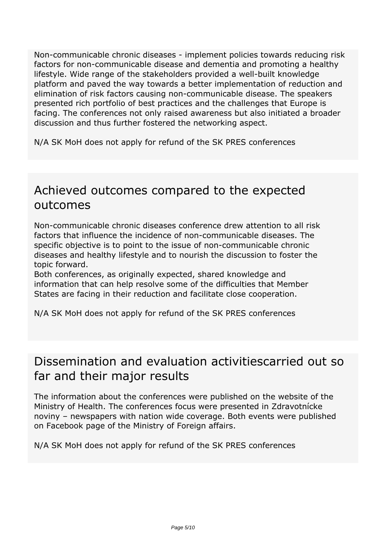*Non-communicable chronic diseases - implement policies towards reducing risk factors for non-communicable disease and dementia and promoting a healthy lifestyle. Wide range of the stakeholders provided a well-built knowledge platform and paved the way towards a better implementation of reduction and elimination of risk factors causing non-communicable disease. The speakers presented rich portfolio of best practices and the challenges that Europe is facing. The conferences not only raised awareness but also initiated a broader discussion and thus further fostered the networking aspect.*

*N/A SK MoH does not apply for refund of the SK PRES conferences*

### *Achieved outcomes compared to the expected outcomes*

*Non-communicable chronic diseases conference drew attention to all risk factors that influence the incidence of non-communicable diseases. The specific objective is to point to the issue of non-communicable chronic diseases and healthy lifestyle and to nourish the discussion to foster the topic forward.*

*Both conferences, as originally expected, shared knowledge and information that can help resolve some of the difficulties that Member States are facing in their reduction and facilitate close cooperation.*

*N/A SK MoH does not apply for refund of the SK PRES conferences*

### *Dissemination and evaluation activitiescarried out so far and their major results*

*The information about the conferences were published on the website of the Ministry of Health. The conferences focus were presented in Zdravotnícke noviny – newspapers with nation wide coverage. Both events were published on Facebook page of the Ministry of Foreign affairs.*

*N/A SK MoH does not apply for refund of the SK PRES conferences*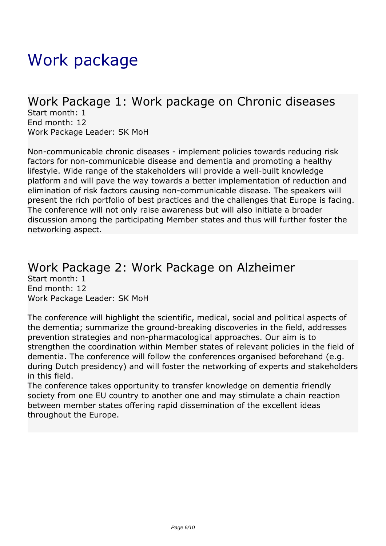# <span id="page-5-0"></span>*Work package*

### *Work Package 1: Work package on Chronic diseases*

*Start month: 1 End month: 12 Work Package Leader: SK MoH*

*Non-communicable chronic diseases - implement policies towards reducing risk factors for non-communicable disease and dementia and promoting a healthy lifestyle. Wide range of the stakeholders will provide a well-built knowledge platform and will pave the way towards a better implementation of reduction and elimination of risk factors causing non-communicable disease. The speakers will present the rich portfolio of best practices and the challenges that Europe is facing. The conference will not only raise awareness but will also initiate a broader discussion among the participating Member states and thus will further foster the networking aspect.* 

#### *Work Package 2: Work Package on Alzheimer Start month: 1 End month: 12 Work Package Leader: SK MoH*

*The conference will highlight the scientific, medical, social and political aspects of the dementia; summarize the ground-breaking discoveries in the field, addresses prevention strategies and non-pharmacological approaches. Our aim is to strengthen the coordination within Member states of relevant policies in the field of dementia. The conference will follow the conferences organised beforehand (e.g. during Dutch presidency) and will foster the networking of experts and stakeholders in this field.*

*The conference takes opportunity to transfer knowledge on dementia friendly society from one EU country to another one and may stimulate a chain reaction between member states offering rapid dissemination of the excellent ideas throughout the Europe.*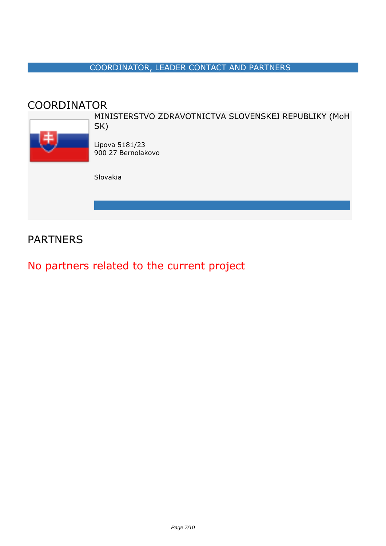#### *COORDINATOR, LEADER CONTACT AND PARTNERS*

### <span id="page-6-0"></span>*COORDINATOR*



*MINISTERSTVO ZDRAVOTNICTVA SLOVENSKEJ REPUBLIKY (MoH SK)*

*Lipova 5181/23 900 27 Bernolakovo*

*Slovakia*

### *PARTNERS*

### *No partners related to the current project*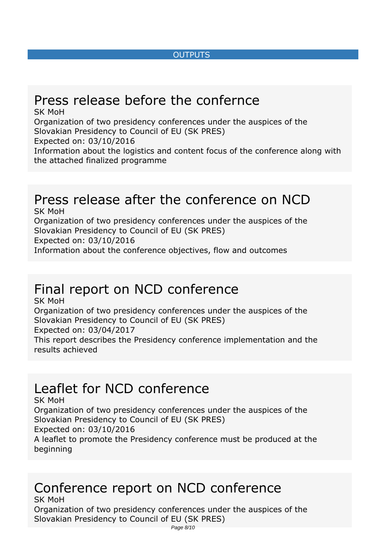#### *OUTPUTS*

# <span id="page-7-0"></span>*Press release before the confernce*

*SK MoH Organization of two presidency conferences under the auspices of the Slovakian Presidency to Council of EU (SK PRES) Expected on: 03/10/2016 Information about the logistics and content focus of the conference along with the attached finalized programme*

# *Press release after the conference on NCD*

*SK MoH Organization of two presidency conferences under the auspices of the Slovakian Presidency to Council of EU (SK PRES) Expected on: 03/10/2016 Information about the conference objectives, flow and outcomes*

### *Final report on NCD conference*

*SK MoH Organization of two presidency conferences under the auspices of the Slovakian Presidency to Council of EU (SK PRES) Expected on: 03/04/2017 This report describes the Presidency conference implementation and the results achieved*

### *Leaflet for NCD conference*

*SK MoH Organization of two presidency conferences under the auspices of the Slovakian Presidency to Council of EU (SK PRES) Expected on: 03/10/2016 A leaflet to promote the Presidency conference must be produced at the beginning*

#### *Conference report on NCD conference SK MoH*

*Organization of two presidency conferences under the auspices of the Slovakian Presidency to Council of EU (SK PRES)*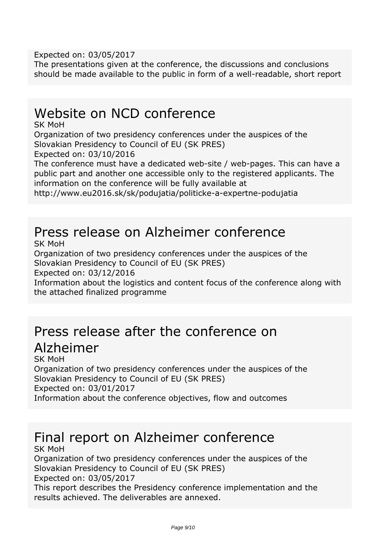*Expected on: 03/05/2017*

*The presentations given at the conference, the discussions and conclusions should be made available to the public in form of a well-readable, short report*

## *Website on NCD conference*

*SK MoH*

*Organization of two presidency conferences under the auspices of the Slovakian Presidency to Council of EU (SK PRES)*

*Expected on: 03/10/2016*

*The conference must have a dedicated web-site / web-pages. This can have a public part and another one accessible only to the registered applicants. The information on the conference will be fully available at*

*http://www.eu2016.sk/sk/podujatia/politicke-a-expertne-podujatia*

## *Press release on Alzheimer conference*

*SK MoH*

*Organization of two presidency conferences under the auspices of the Slovakian Presidency to Council of EU (SK PRES)*

*Expected on: 03/12/2016*

*Information about the logistics and content focus of the conference along with the attached finalized programme*

### *Press release after the conference on Alzheimer SK MoH*

*Organization of two presidency conferences under the auspices of the Slovakian Presidency to Council of EU (SK PRES) Expected on: 03/01/2017 Information about the conference objectives, flow and outcomes*

# *Final report on Alzheimer conference*

*SK MoH*

*Organization of two presidency conferences under the auspices of the Slovakian Presidency to Council of EU (SK PRES) Expected on: 03/05/2017*

*This report describes the Presidency conference implementation and the results achieved. The deliverables are annexed.*